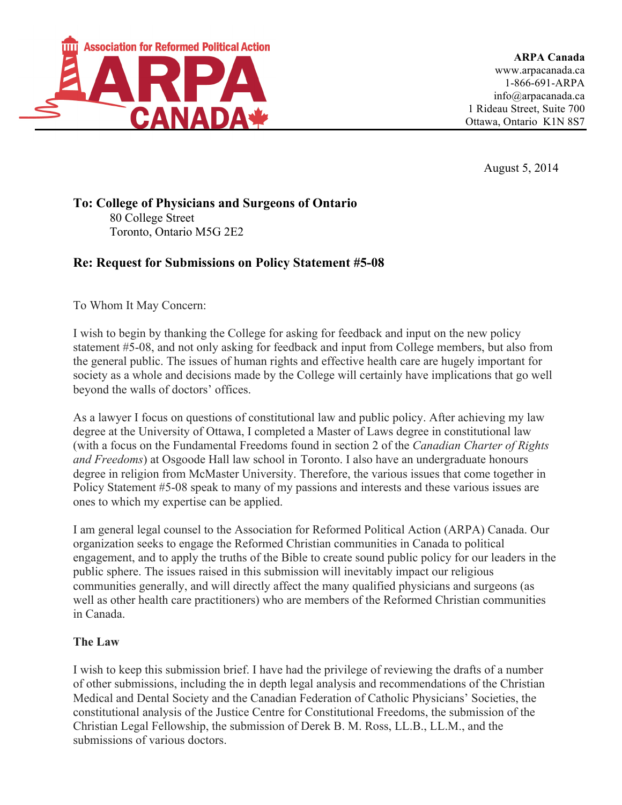

**ARPA Canada** www.arpacanada.ca 1-866-691-ARPA info@arpacanada.ca 1 Rideau Street, Suite 700 Ottawa, Ontario K1N 8S7

August 5, 2014

### **To: College of Physicians and Surgeons of Ontario** 80 College Street Toronto, Ontario M5G 2E2

# **Re: Request for Submissions on Policy Statement #5-08**

To Whom It May Concern:

I wish to begin by thanking the College for asking for feedback and input on the new policy statement #5-08, and not only asking for feedback and input from College members, but also from the general public. The issues of human rights and effective health care are hugely important for society as a whole and decisions made by the College will certainly have implications that go well beyond the walls of doctors' offices.

As a lawyer I focus on questions of constitutional law and public policy. After achieving my law degree at the University of Ottawa, I completed a Master of Laws degree in constitutional law (with a focus on the Fundamental Freedoms found in section 2 of the *Canadian Charter of Rights and Freedoms*) at Osgoode Hall law school in Toronto. I also have an undergraduate honours degree in religion from McMaster University. Therefore, the various issues that come together in Policy Statement #5-08 speak to many of my passions and interests and these various issues are ones to which my expertise can be applied.

I am general legal counsel to the Association for Reformed Political Action (ARPA) Canada. Our organization seeks to engage the Reformed Christian communities in Canada to political engagement, and to apply the truths of the Bible to create sound public policy for our leaders in the public sphere. The issues raised in this submission will inevitably impact our religious communities generally, and will directly affect the many qualified physicians and surgeons (as well as other health care practitioners) who are members of the Reformed Christian communities in Canada.

### **The Law**

I wish to keep this submission brief. I have had the privilege of reviewing the drafts of a number of other submissions, including the in depth legal analysis and recommendations of the Christian Medical and Dental Society and the Canadian Federation of Catholic Physicians' Societies, the constitutional analysis of the Justice Centre for Constitutional Freedoms, the submission of the Christian Legal Fellowship, the submission of Derek B. M. Ross, LL.B., LL.M., and the submissions of various doctors.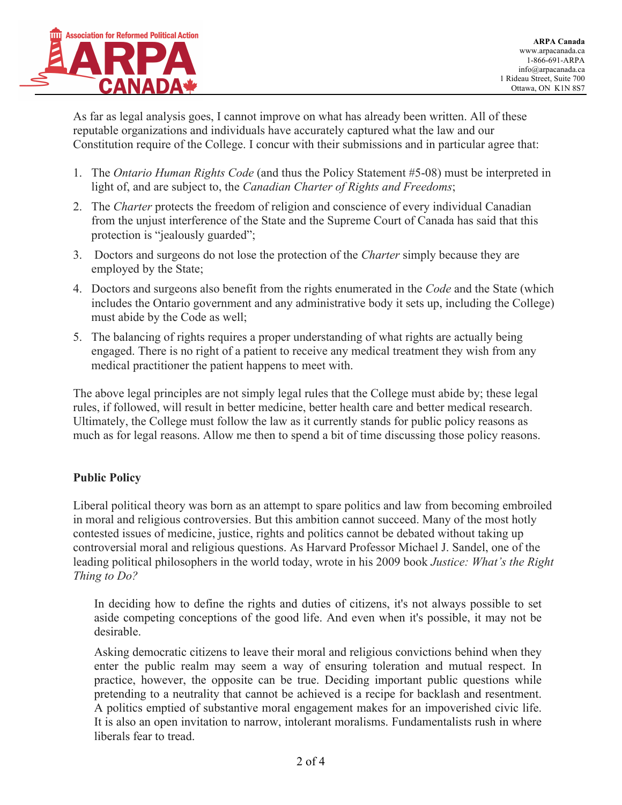

As far as legal analysis goes, I cannot improve on what has already been written. All of these reputable organizations and individuals have accurately captured what the law and our Constitution require of the College. I concur with their submissions and in particular agree that:

- 1. The *Ontario Human Rights Code* (and thus the Policy Statement #5-08) must be interpreted in light of, and are subject to, the *Canadian Charter of Rights and Freedoms*;
- 2. The *Charter* protects the freedom of religion and conscience of every individual Canadian from the unjust interference of the State and the Supreme Court of Canada has said that this protection is "jealously guarded";
- 3. Doctors and surgeons do not lose the protection of the *Charter* simply because they are employed by the State;
- 4. Doctors and surgeons also benefit from the rights enumerated in the *Code* and the State (which includes the Ontario government and any administrative body it sets up, including the College) must abide by the Code as well;
- 5. The balancing of rights requires a proper understanding of what rights are actually being engaged. There is no right of a patient to receive any medical treatment they wish from any medical practitioner the patient happens to meet with.

The above legal principles are not simply legal rules that the College must abide by; these legal rules, if followed, will result in better medicine, better health care and better medical research. Ultimately, the College must follow the law as it currently stands for public policy reasons as much as for legal reasons. Allow me then to spend a bit of time discussing those policy reasons.

# **Public Policy**

Liberal political theory was born as an attempt to spare politics and law from becoming embroiled in moral and religious controversies. But this ambition cannot succeed. Many of the most hotly contested issues of medicine, justice, rights and politics cannot be debated without taking up controversial moral and religious questions. As Harvard Professor Michael J. Sandel, one of the leading political philosophers in the world today, wrote in his 2009 book *Justice: What's the Right Thing to Do?*

In deciding how to define the rights and duties of citizens, it's not always possible to set aside competing conceptions of the good life. And even when it's possible, it may not be desirable.

Asking democratic citizens to leave their moral and religious convictions behind when they enter the public realm may seem a way of ensuring toleration and mutual respect. In practice, however, the opposite can be true. Deciding important public questions while pretending to a neutrality that cannot be achieved is a recipe for backlash and resentment. A politics emptied of substantive moral engagement makes for an impoverished civic life. It is also an open invitation to narrow, intolerant moralisms. Fundamentalists rush in where liberals fear to tread.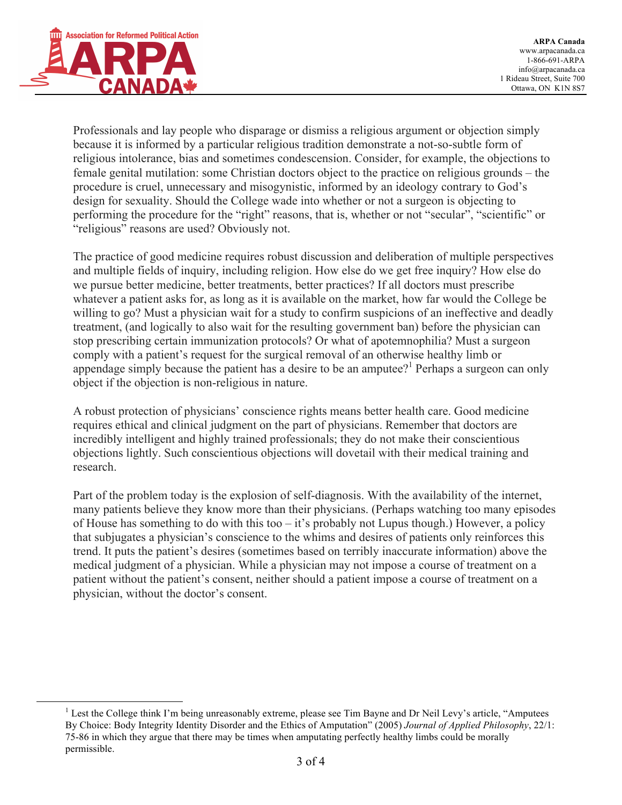

Professionals and lay people who disparage or dismiss a religious argument or objection simply because it is informed by a particular religious tradition demonstrate a not-so-subtle form of religious intolerance, bias and sometimes condescension. Consider, for example, the objections to female genital mutilation: some Christian doctors object to the practice on religious grounds – the procedure is cruel, unnecessary and misogynistic, informed by an ideology contrary to God's design for sexuality. Should the College wade into whether or not a surgeon is objecting to performing the procedure for the "right" reasons, that is, whether or not "secular", "scientific" or "religious" reasons are used? Obviously not.

The practice of good medicine requires robust discussion and deliberation of multiple perspectives and multiple fields of inquiry, including religion. How else do we get free inquiry? How else do we pursue better medicine, better treatments, better practices? If all doctors must prescribe whatever a patient asks for, as long as it is available on the market, how far would the College be willing to go? Must a physician wait for a study to confirm suspicions of an ineffective and deadly treatment, (and logically to also wait for the resulting government ban) before the physician can stop prescribing certain immunization protocols? Or what of apotemnophilia? Must a surgeon comply with a patient's request for the surgical removal of an otherwise healthy limb or appendage simply because the patient has a desire to be an amputee?<sup>1</sup> Perhaps a surgeon can only object if the objection is non-religious in nature.

A robust protection of physicians' conscience rights means better health care. Good medicine requires ethical and clinical judgment on the part of physicians. Remember that doctors are incredibly intelligent and highly trained professionals; they do not make their conscientious objections lightly. Such conscientious objections will dovetail with their medical training and research.

Part of the problem today is the explosion of self-diagnosis. With the availability of the internet, many patients believe they know more than their physicians. (Perhaps watching too many episodes of House has something to do with this too – it's probably not Lupus though.) However, a policy that subjugates a physician's conscience to the whims and desires of patients only reinforces this trend. It puts the patient's desires (sometimes based on terribly inaccurate information) above the medical judgment of a physician. While a physician may not impose a course of treatment on a patient without the patient's consent, neither should a patient impose a course of treatment on a physician, without the doctor's consent.

<sup>&</sup>lt;sup>1</sup> Lest the College think I'm being unreasonably extreme, please see Tim Bayne and Dr Neil Levy's article, "Amputees" By Choice: Body Integrity Identity Disorder and the Ethics of Amputation" (2005) *Journal of Applied Philosophy*, 22/1: 75-86 in which they argue that there may be times when amputating perfectly healthy limbs could be morally permissible.